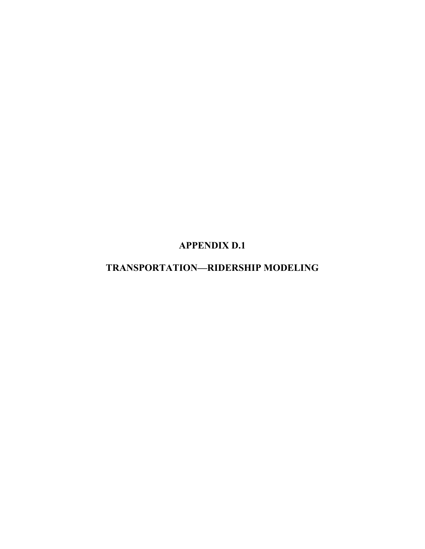**APPENDIX D.1** 

# **TRANSPORTATION—RIDERSHIP MODELING**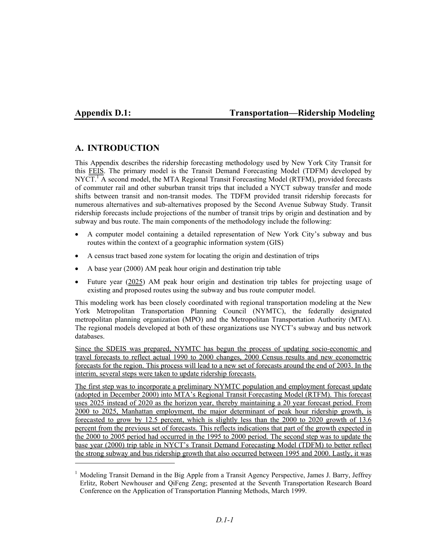l

# **Appendix D.1: Transportation—Ridership Modeling**

# **A. INTRODUCTION**

This Appendix describes the ridership forecasting methodology used by New York City Transit for this FEIS. The primary model is the Transit Demand Forecasting Model (TDFM) developed by NYCT.<sup>1</sup> A second model, the MTA Regional Transit Forecasting Model (RTFM), provided forecasts of commuter rail and other suburban transit trips that included a NYCT subway transfer and mode shifts between transit and non-transit modes. The TDFM provided transit ridership forecasts for numerous alternatives and sub-alternatives proposed by the Second Avenue Subway Study. Transit ridership forecasts include projections of the number of transit trips by origin and destination and by subway and bus route. The main components of the methodology include the following:

- A computer model containing a detailed representation of New York City's subway and bus routes within the context of a geographic information system (GIS)
- A census tract based zone system for locating the origin and destination of trips
- A base year (2000) AM peak hour origin and destination trip table
- Future year (2025) AM peak hour origin and destination trip tables for projecting usage of existing and proposed routes using the subway and bus route computer model.

This modeling work has been closely coordinated with regional transportation modeling at the New York Metropolitan Transportation Planning Council (NYMTC), the federally designated metropolitan planning organization (MPO) and the Metropolitan Transportation Authority (MTA). The regional models developed at both of these organizations use NYCT's subway and bus network databases.

Since the SDEIS was prepared, NYMTC has begun the process of updating socio-economic and travel forecasts to reflect actual 1990 to 2000 changes, 2000 Census results and new econometric forecasts for the region. This process will lead to a new set of forecasts around the end of 2003. In the interim, several steps were taken to update ridership forecasts.

The first step was to incorporate a preliminary NYMTC population and employment forecast update (adopted in December 2000) into MTA's Regional Transit Forecasting Model (RTFM). This forecast uses 2025 instead of 2020 as the horizon year, thereby maintaining a 20 year forecast period. From 2000 to 2025, Manhattan employment, the major determinant of peak hour ridership growth, is forecasted to grow by 12.5 percent, which is slightly less than the 2000 to 2020 growth of 13.6 percent from the previous set of forecasts. This reflects indications that part of the growth expected in the 2000 to 2005 period had occurred in the 1995 to 2000 period. The second step was to update the base year (2000) trip table in NYCT's Transit Demand Forecasting Model (TDFM) to better reflect the strong subway and bus ridership growth that also occurred between 1995 and 2000. Lastly, it was

<sup>&</sup>lt;sup>1</sup> Modeling Transit Demand in the Big Apple from a Transit Agency Perspective, James J. Barry, Jeffrey Erlitz, Robert Newhouser and QiFeng Zeng; presented at the Seventh Transportation Research Board Conference on the Application of Transportation Planning Methods, March 1999.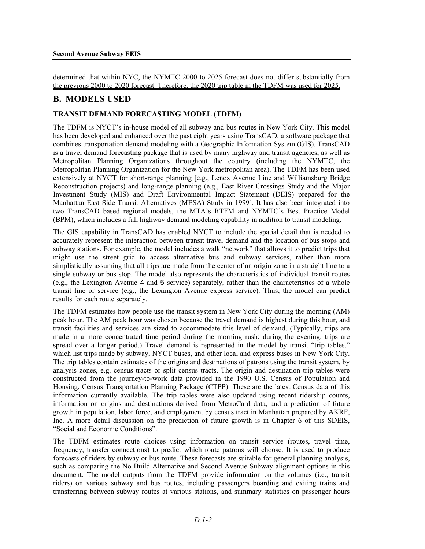determined that within NYC, the NYMTC 2000 to 2025 forecast does not differ substantially from the previous 2000 to 2020 forecast. Therefore, the 2020 trip table in the TDFM was used for 2025.

# **B. MODELS USED**

#### **TRANSIT DEMAND FORECASTING MODEL (TDFM)**

The TDFM is NYCT's in-house model of all subway and bus routes in New York City. This model has been developed and enhanced over the past eight years using TransCAD, a software package that combines transportation demand modeling with a Geographic Information System (GIS). TransCAD is a travel demand forecasting package that is used by many highway and transit agencies, as well as Metropolitan Planning Organizations throughout the country (including the NYMTC, the Metropolitan Planning Organization for the New York metropolitan area). The TDFM has been used extensively at NYCT for short-range planning [e.g., Lenox Avenue Line and Williamsburg Bridge Reconstruction projects) and long-range planning (e.g., East River Crossings Study and the Major Investment Study (MIS) and Draft Environmental Impact Statement (DEIS) prepared for the Manhattan East Side Transit Alternatives (MESA) Study in 1999]. It has also been integrated into two TransCAD based regional models, the MTA's RTFM and NYMTC's Best Practice Model (BPM), which includes a full highway demand modeling capability in addition to transit modeling.

The GIS capability in TransCAD has enabled NYCT to include the spatial detail that is needed to accurately represent the interaction between transit travel demand and the location of bus stops and subway stations. For example, the model includes a walk "network" that allows it to predict trips that might use the street grid to access alternative bus and subway services, rather than more simplistically assuming that all trips are made from the center of an origin zone in a straight line to a single subway or bus stop. The model also represents the characteristics of individual transit routes (e.g., the Lexington Avenue 4 and 5 service) separately, rather than the characteristics of a whole transit line or service (e.g., the Lexington Avenue express service). Thus, the model can predict results for each route separately.

The TDFM estimates how people use the transit system in New York City during the morning (AM) peak hour. The AM peak hour was chosen because the travel demand is highest during this hour, and transit facilities and services are sized to accommodate this level of demand. (Typically, trips are made in a more concentrated time period during the morning rush; during the evening, trips are spread over a longer period.) Travel demand is represented in the model by transit "trip tables," which list trips made by subway, NYCT buses, and other local and express buses in New York City. The trip tables contain estimates of the origins and destinations of patrons using the transit system, by analysis zones, e.g. census tracts or split census tracts. The origin and destination trip tables were constructed from the journey-to-work data provided in the 1990 U.S. Census of Population and Housing, Census Transportation Planning Package (CTPP). These are the latest Census data of this information currently available. The trip tables were also updated using recent ridership counts, information on origins and destinations derived from MetroCard data, and a prediction of future growth in population, labor force, and employment by census tract in Manhattan prepared by AKRF, Inc. A more detail discussion on the prediction of future growth is in Chapter 6 of this SDEIS, "Social and Economic Conditions".

The TDFM estimates route choices using information on transit service (routes, travel time, frequency, transfer connections) to predict which route patrons will choose. It is used to produce forecasts of riders by subway or bus route. These forecasts are suitable for general planning analysis, such as comparing the No Build Alternative and Second Avenue Subway alignment options in this document. The model outputs from the TDFM provide information on the volumes (i.e., transit riders) on various subway and bus routes, including passengers boarding and exiting trains and transferring between subway routes at various stations, and summary statistics on passenger hours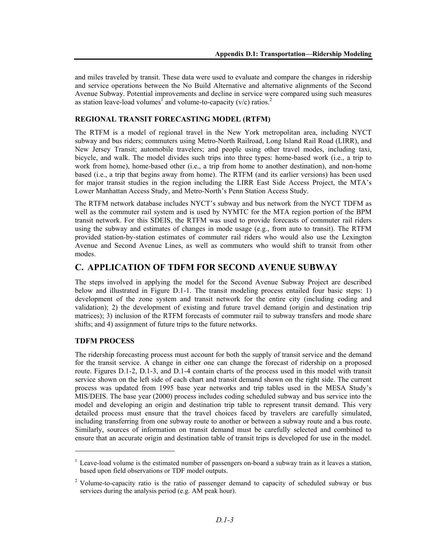and miles traveled by transit. These data were used to evaluate and compare the changes in ridership and service operations between the No Build Alternative and alternative alignments of the Second Avenue Subway. Potential improvements and decline in service were compared using such measures as station leave-load volumes<sup>1</sup> and volume-to-capacity (v/c) ratios.<sup>2</sup>

#### **REGIONAL TRANSIT FORECASTING MODEL (RTFM)**

The RTFM is a model of regional travel in the New York metropolitan area, including NYCT subway and bus riders; commuters using Metro-North Railroad, Long Island Rail Road (LIRR), and New Jersey Transit; automobile travelers; and people using other travel modes, including taxi, bicycle, and walk. The model divides such trips into three types: home-based work (i.e., a trip to work from home), home-based other (i.e., a trip from home to another destination), and non-home based (i.e., a trip that begins away from home). The RTFM (and its earlier versions) has been used for major transit studies in the region including the LIRR East Side Access Project, the MTA's Lower Manhattan Access Study, and Metro-North's Penn Station Access Study.

The RTFM network database includes NYCT's subway and bus network from the NYCT TDFM as well as the commuter rail system and is used by NYMTC for the MTA region portion of the BPM transit network. For this SDEIS, the RTFM was used to provide forecasts of commuter rail riders using the subway and estimates of changes in mode usage (e.g., from auto to transit). The RTFM provided station-by-station estimates of commuter rail riders who would also use the Lexington Avenue and Second Avenue Lines, as well as commuters who would shift to transit from other modes.

# **C. APPLICATION OF TDFM FOR SECOND AVENUE SUBWAY**

The steps involved in applying the model for the Second Avenue Subway Project are described below and illustrated in Figure D.1-1. The transit modeling process entailed four basic steps: 1) development of the zone system and transit network for the entire city (including coding and validation); 2) the development of existing and future travel demand (origin and destination trip matrices); 3) inclusion of the RTFM forecasts of commuter rail to subway transfers and mode share shifts; and 4) assignment of future trips to the future networks.

#### **TDFM PROCESS**

l

The ridership forecasting process must account for both the supply of transit service and the demand for the transit service. A change in either one can change the forecast of ridership on a proposed route. Figures D.1-2, D.1-3, and D.1-4 contain charts of the process used in this model with transit service shown on the left side of each chart and transit demand shown on the right side. The current process was updated from 1995 base year networks and trip tables used in the MESA Study's MIS/DEIS. The base year (2000) process includes coding scheduled subway and bus service into the model and developing an origin and destination trip table to represent transit demand. This very detailed process must ensure that the travel choices faced by travelers are carefully simulated, including transferring from one subway route to another or between a subway route and a bus route. Similarly, sources of information on transit demand must be carefully selected and combined to ensure that an accurate origin and destination table of transit trips is developed for use in the model.

<sup>&</sup>lt;sup>1</sup> Leave-load volume is the estimated number of passengers on-board a subway train as it leaves a station, based upon field observations or TDF model outputs.

<sup>&</sup>lt;sup>2</sup> Volume-to-capacity ratio is the ratio of passenger demand to capacity of scheduled subway or bus services during the analysis period (e.g. AM peak hour).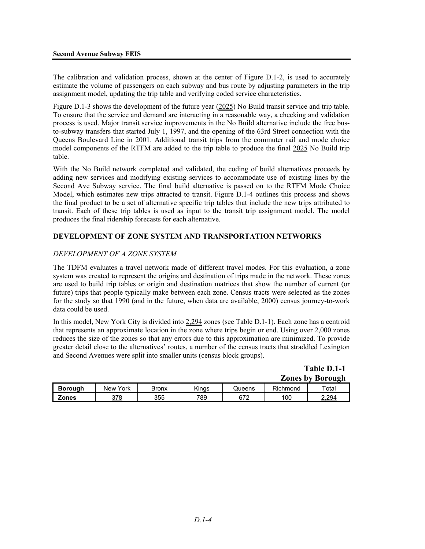The calibration and validation process, shown at the center of Figure D.1-2, is used to accurately estimate the volume of passengers on each subway and bus route by adjusting parameters in the trip assignment model, updating the trip table and verifying coded service characteristics.

Figure D.1-3 shows the development of the future year (2025) No Build transit service and trip table. To ensure that the service and demand are interacting in a reasonable way, a checking and validation process is used. Major transit service improvements in the No Build alternative include the free busto-subway transfers that started July 1, 1997, and the opening of the 63rd Street connection with the Queens Boulevard Line in 2001. Additional transit trips from the commuter rail and mode choice model components of the RTFM are added to the trip table to produce the final 2025 No Build trip table.

With the No Build network completed and validated, the coding of build alternatives proceeds by adding new services and modifying existing services to accommodate use of existing lines by the Second Ave Subway service. The final build alternative is passed on to the RTFM Mode Choice Model, which estimates new trips attracted to transit. Figure D.1-4 outlines this process and shows the final product to be a set of alternative specific trip tables that include the new trips attributed to transit. Each of these trip tables is used as input to the transit trip assignment model. The model produces the final ridership forecasts for each alternative.

#### **DEVELOPMENT OF ZONE SYSTEM AND TRANSPORTATION NETWORKS**

#### *DEVELOPMENT OF A ZONE SYSTEM*

The TDFM evaluates a travel network made of different travel modes. For this evaluation, a zone system was created to represent the origins and destination of trips made in the network. These zones are used to build trip tables or origin and destination matrices that show the number of current (or future) trips that people typically make between each zone. Census tracts were selected as the zones for the study so that 1990 (and in the future, when data are available, 2000) census journey-to-work data could be used.

In this model, New York City is divided into 2,294 zones (see Table D.1-1). Each zone has a centroid that represents an approximate location in the zone where trips begin or end. Using over 2,000 zones reduces the size of the zones so that any errors due to this approximation are minimized. To provide greater detail close to the alternatives' routes, a number of the census tracts that straddled Lexington and Second Avenues were split into smaller units (census block groups).

> **Table D.1-1 Zones by Borough**

|         |                    |       |            |               | $\sim$   | -------- |
|---------|--------------------|-------|------------|---------------|----------|----------|
| Borough | York<br><b>New</b> | Bronx | .<br>Kinas | <b>Jueens</b> | Richmond | Total    |
| Zones   | 378                | 355   | 789        | 672           | 100      | 4,29≙    |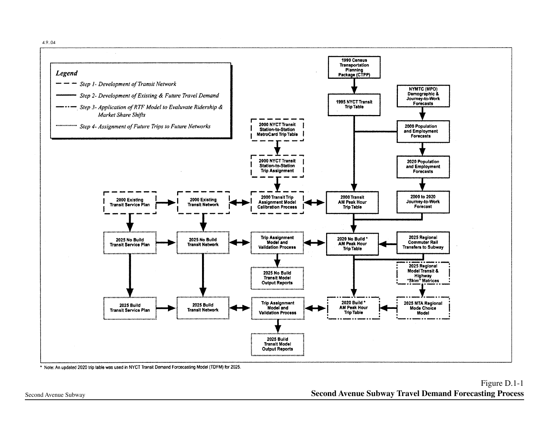4.9..04



\* Note: An updated 2020 trip table was used in NYCT Transit Demand Forcecasting Model (TDFM) for 2025.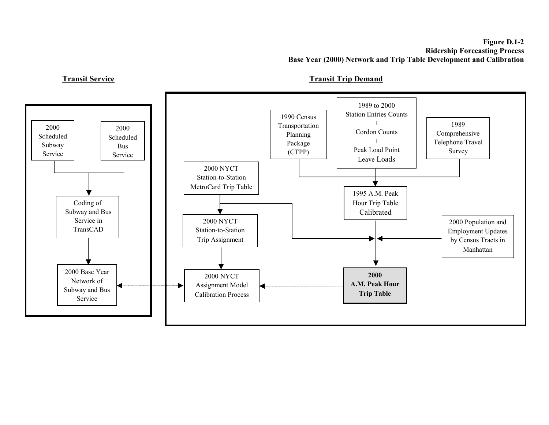#### **Figure D.1-2 Ridership Forecasting Process Base Year (2000) Network and Trip Table Development and Calibration**

**Transit Service**



**Transit Trip Demand**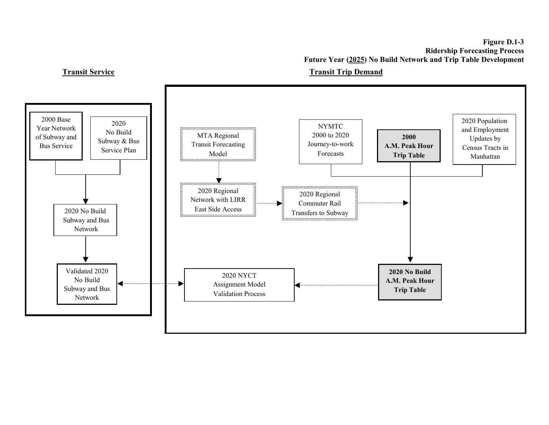**Figure D.1-3 Ridership Forecasting Process Future Year (2025) No Build Network and Trip Table Development** 

# **Transit Service**



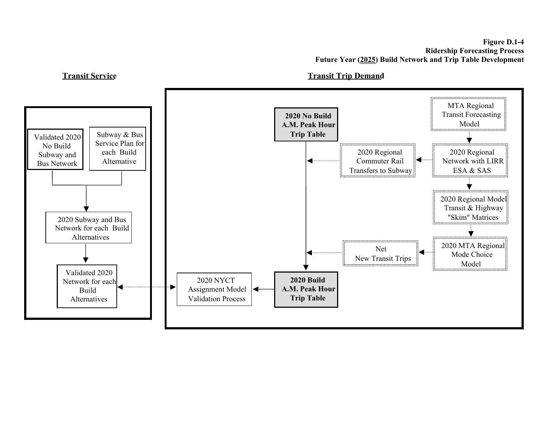

### **Transit Trip Demand**

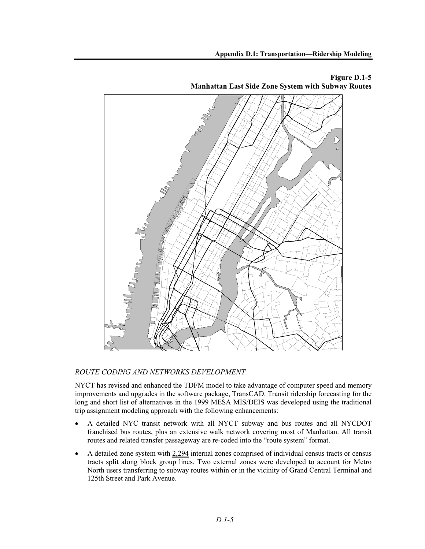**Appendix D.1: Transportation—Ridership Modeling** 



**Figure D.1-5 Manhattan East Side Zone System with Subway Routes** 

# *ROUTE CODING AND NETWORKS DEVELOPMENT*

NYCT has revised and enhanced the TDFM model to take advantage of computer speed and memory improvements and upgrades in the software package, TransCAD. Transit ridership forecasting for the long and short list of alternatives in the 1999 MESA MIS/DEIS was developed using the traditional trip assignment modeling approach with the following enhancements:

- A detailed NYC transit network with all NYCT subway and bus routes and all NYCDOT franchised bus routes, plus an extensive walk network covering most of Manhattan. All transit routes and related transfer passageway are re-coded into the "route system" format.
- A detailed zone system with  $2,294$  internal zones comprised of individual census tracts or census tracts split along block group lines. Two external zones were developed to account for Metro North users transferring to subway routes within or in the vicinity of Grand Central Terminal and 125th Street and Park Avenue.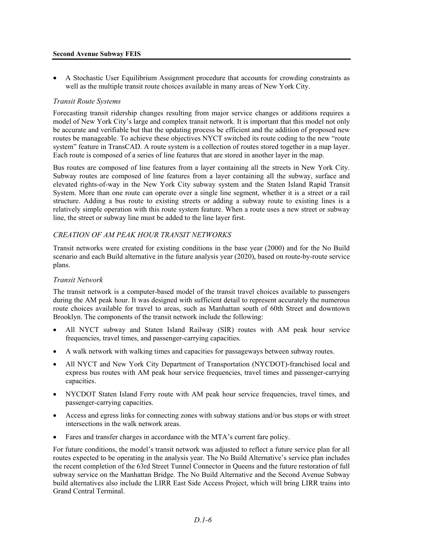#### **Second Avenue Subway FEIS**

• A Stochastic User Equilibrium Assignment procedure that accounts for crowding constraints as well as the multiple transit route choices available in many areas of New York City.

#### *Transit Route Systems*

Forecasting transit ridership changes resulting from major service changes or additions requires a model of New York City's large and complex transit network. It is important that this model not only be accurate and verifiable but that the updating process be efficient and the addition of proposed new routes be manageable. To achieve these objectives NYCT switched its route coding to the new "route system" feature in TransCAD. A route system is a collection of routes stored together in a map layer. Each route is composed of a series of line features that are stored in another layer in the map.

Bus routes are composed of line features from a layer containing all the streets in New York City. Subway routes are composed of line features from a layer containing all the subway, surface and elevated rights-of-way in the New York City subway system and the Staten Island Rapid Transit System. More than one route can operate over a single line segment, whether it is a street or a rail structure. Adding a bus route to existing streets or adding a subway route to existing lines is a relatively simple operation with this route system feature. When a route uses a new street or subway line, the street or subway line must be added to the line layer first.

#### *CREATION OF AM PEAK HOUR TRANSIT NETWORKS*

Transit networks were created for existing conditions in the base year (2000) and for the No Build scenario and each Build alternative in the future analysis year (2020), based on route-by-route service plans.

#### *Transit Network*

The transit network is a computer-based model of the transit travel choices available to passengers during the AM peak hour. It was designed with sufficient detail to represent accurately the numerous route choices available for travel to areas, such as Manhattan south of 60th Street and downtown Brooklyn. The components of the transit network include the following:

- All NYCT subway and Staten Island Railway (SIR) routes with AM peak hour service frequencies, travel times, and passenger-carrying capacities.
- A walk network with walking times and capacities for passageways between subway routes.
- All NYCT and New York City Department of Transportation (NYCDOT)-franchised local and express bus routes with AM peak hour service frequencies, travel times and passenger-carrying capacities.
- NYCDOT Staten Island Ferry route with AM peak hour service frequencies, travel times, and passenger-carrying capacities.
- Access and egress links for connecting zones with subway stations and/or bus stops or with street intersections in the walk network areas.
- Fares and transfer charges in accordance with the MTA's current fare policy.

For future conditions, the model's transit network was adjusted to reflect a future service plan for all routes expected to be operating in the analysis year. The No Build Alternative's service plan includes the recent completion of the 63rd Street Tunnel Connector in Queens and the future restoration of full subway service on the Manhattan Bridge. The No Build Alternative and the Second Avenue Subway build alternatives also include the LIRR East Side Access Project, which will bring LIRR trains into Grand Central Terminal.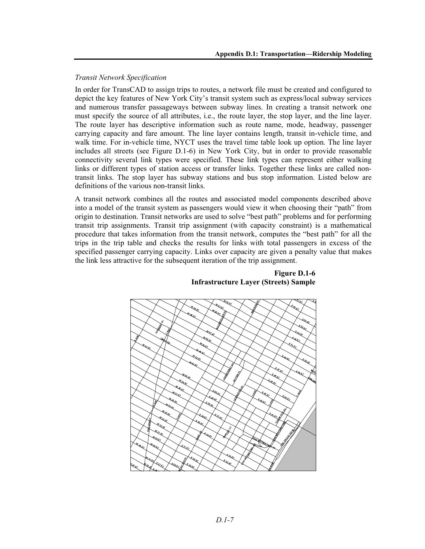### *Transit Network Specification*

In order for TransCAD to assign trips to routes, a network file must be created and configured to depict the key features of New York City's transit system such as express/local subway services and numerous transfer passageways between subway lines. In creating a transit network one must specify the source of all attributes, i.e., the route layer, the stop layer, and the line layer. The route layer has descriptive information such as route name, mode, headway, passenger carrying capacity and fare amount. The line layer contains length, transit in-vehicle time, and walk time. For in-vehicle time, NYCT uses the travel time table look up option. The line layer includes all streets (see Figure D.1-6) in New York City, but in order to provide reasonable connectivity several link types were specified. These link types can represent either walking links or different types of station access or transfer links. Together these links are called nontransit links. The stop layer has subway stations and bus stop information. Listed below are definitions of the various non-transit links.

A transit network combines all the routes and associated model components described above into a model of the transit system as passengers would view it when choosing their "path" from origin to destination. Transit networks are used to solve "best path" problems and for performing transit trip assignments. Transit trip assignment (with capacity constraint) is a mathematical procedure that takes information from the transit network, computes the "best path" for all the trips in the trip table and checks the results for links with total passengers in excess of the specified passenger carrying capacity. Links over capacity are given a penalty value that makes the link less attractive for the subsequent iteration of the trip assignment.



**Figure D.1-6 Infrastructure Layer (Streets) Sample**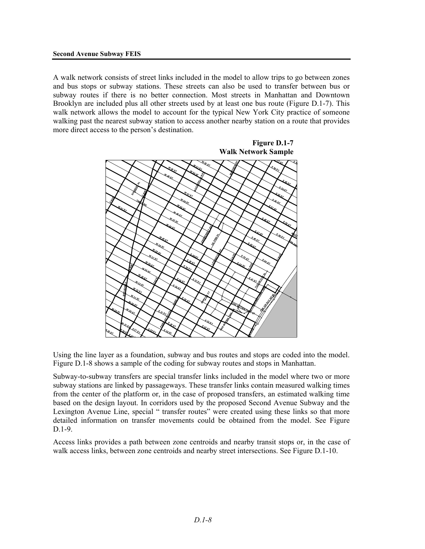A walk network consists of street links included in the model to allow trips to go between zones and bus stops or subway stations. These streets can also be used to transfer between bus or subway routes if there is no better connection. Most streets in Manhattan and Downtown Brooklyn are included plus all other streets used by at least one bus route (Figure D.1-7). This walk network allows the model to account for the typical New York City practice of someone walking past the nearest subway station to access another nearby station on a route that provides more direct access to the person's destination.



Using the line layer as a foundation, subway and bus routes and stops are coded into the model. Figure D.1-8 shows a sample of the coding for subway routes and stops in Manhattan.

Subway-to-subway transfers are special transfer links included in the model where two or more subway stations are linked by passageways. These transfer links contain measured walking times from the center of the platform or, in the case of proposed transfers, an estimated walking time based on the design layout. In corridors used by the proposed Second Avenue Subway and the Lexington Avenue Line, special " transfer routes" were created using these links so that more detailed information on transfer movements could be obtained from the model. See Figure D.1-9

Access links provides a path between zone centroids and nearby transit stops or, in the case of walk access links, between zone centroids and nearby street intersections. See Figure D.1-10.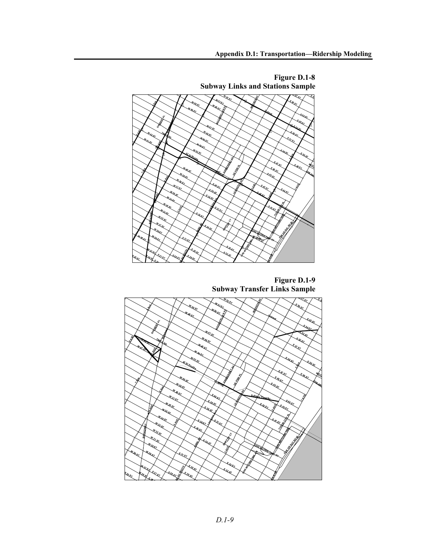

**Figure D.1-9 Subway Transfer Links Sample** 

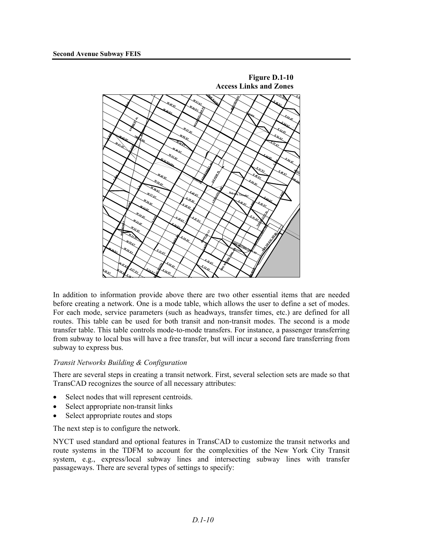

In addition to information provide above there are two other essential items that are needed before creating a network. One is a mode table, which allows the user to define a set of modes. For each mode, service parameters (such as headways, transfer times, etc.) are defined for all routes. This table can be used for both transit and non-transit modes. The second is a mode transfer table. This table controls mode-to-mode transfers. For instance, a passenger transferring from subway to local bus will have a free transfer, but will incur a second fare transferring from subway to express bus.

#### *Transit Networks Building & Configuration*

There are several steps in creating a transit network. First, several selection sets are made so that TransCAD recognizes the source of all necessary attributes:

- Select nodes that will represent centroids.
- Select appropriate non-transit links
- Select appropriate routes and stops

The next step is to configure the network.

NYCT used standard and optional features in TransCAD to customize the transit networks and route systems in the TDFM to account for the complexities of the New York City Transit system, e.g., express/local subway lines and intersecting subway lines with transfer passageways. There are several types of settings to specify: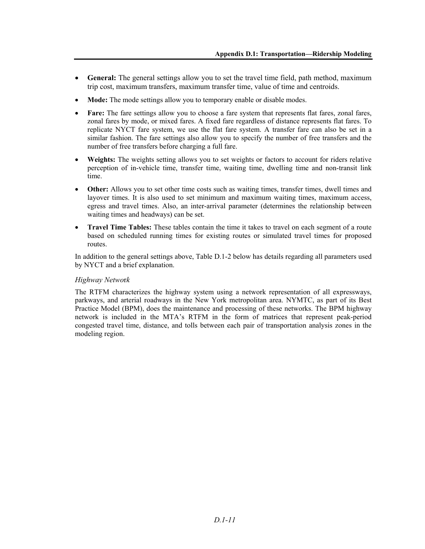- **General:** The general settings allow you to set the travel time field, path method, maximum trip cost, maximum transfers, maximum transfer time, value of time and centroids.
- **Mode:** The mode settings allow you to temporary enable or disable modes.
- **Fare:** The fare settings allow you to choose a fare system that represents flat fares, zonal fares, zonal fares by mode, or mixed fares. A fixed fare regardless of distance represents flat fares. To replicate NYCT fare system, we use the flat fare system. A transfer fare can also be set in a similar fashion. The fare settings also allow you to specify the number of free transfers and the number of free transfers before charging a full fare.
- **Weights:** The weights setting allows you to set weights or factors to account for riders relative perception of in-vehicle time, transfer time, waiting time, dwelling time and non-transit link time.
- **Other:** Allows you to set other time costs such as waiting times, transfer times, dwell times and layover times. It is also used to set minimum and maximum waiting times, maximum access, egress and travel times. Also, an inter-arrival parameter (determines the relationship between waiting times and headways) can be set.
- **Travel Time Tables:** These tables contain the time it takes to travel on each segment of a route based on scheduled running times for existing routes or simulated travel times for proposed routes.

In addition to the general settings above, Table D.1-2 below has details regarding all parameters used by NYCT and a brief explanation.

#### *Highway Netwo*r*k*

The RTFM characterizes the highway system using a network representation of all expressways, parkways, and arterial roadways in the New York metropolitan area. NYMTC, as part of its Best Practice Model (BPM), does the maintenance and processing of these networks. The BPM highway network is included in the MTA's RTFM in the form of matrices that represent peak-period congested travel time, distance, and tolls between each pair of transportation analysis zones in the modeling region.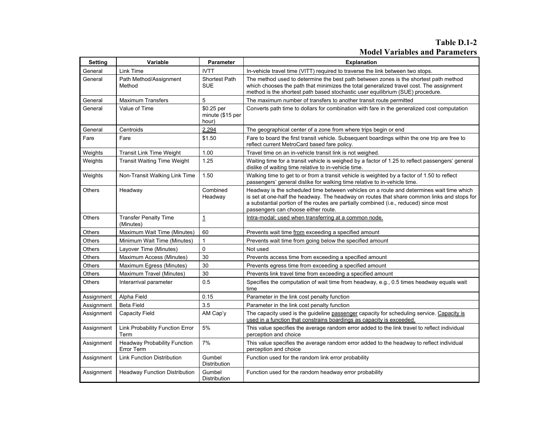# **Table D.1-2 Model Variables and Parameters**

| Setting       | <b>Variable</b>                                   | <b>Parameter</b>                        | <b>Explanation</b>                                                                                                                                                                                                                                                                                                      |  |
|---------------|---------------------------------------------------|-----------------------------------------|-------------------------------------------------------------------------------------------------------------------------------------------------------------------------------------------------------------------------------------------------------------------------------------------------------------------------|--|
| General       | Link Time                                         | <b>IVTT</b>                             | In-vehicle travel time (VITT) required to traverse the link between two stops.                                                                                                                                                                                                                                          |  |
| General       | Path Method/Assignment<br>Method                  | <b>Shortest Path</b><br><b>SUE</b>      | The method used to determine the best path between zones is the shortest path method<br>which chooses the path that minimizes the total generalized travel cost. The assignment<br>method is the shortest path based stochastic user equilibrium (SUE) procedure.                                                       |  |
| General       | <b>Maximum Transfers</b>                          | 5                                       | The maximum number of transfers to another transit route permitted                                                                                                                                                                                                                                                      |  |
| General       | Value of Time                                     | \$0.25 per<br>minute (\$15 per<br>hour) | Converts path time to dollars for combination with fare in the generalized cost computation                                                                                                                                                                                                                             |  |
| General       | Centroids                                         | 2.294                                   | The geographical center of a zone from where trips begin or end                                                                                                                                                                                                                                                         |  |
| Fare          | Fare                                              | \$1.50                                  | Fare to board the first transit vehicle. Subsequent boardings within the one trip are free to<br>reflect current MetroCard based fare policy.                                                                                                                                                                           |  |
| Weights       | <b>Transit Link Time Weight</b>                   | 1.00                                    | Travel time on an in-vehicle transit link is not weighed.                                                                                                                                                                                                                                                               |  |
| Weights       | <b>Transit Waiting Time Weight</b>                | 1.25                                    | Waiting time for a transit vehicle is weighed by a factor of 1.25 to reflect passengers' general<br>dislike of waiting time relative to in-vehicle time.                                                                                                                                                                |  |
| Weights       | Non-Transit Walking Link Time                     | 1.50                                    | Walking time to get to or from a transit vehicle is weighted by a factor of 1.50 to reflect<br>passengers' general dislike for walking time relative to in-vehicle time.                                                                                                                                                |  |
| <b>Others</b> | Headway                                           | Combined<br>Headway                     | Headway is the scheduled time between vehicles on a route and determines wait time which<br>is set at one-half the headway. The headway on routes that share common links and stops for<br>a substantial portion of the routes are partially combined (i.e., reduced) since most<br>passengers can choose either route. |  |
| Others        | <b>Transfer Penalty Time</b><br>(Minutes)         | $\overline{1}$                          | Intra-modal; used when transferring at a common node.                                                                                                                                                                                                                                                                   |  |
| Others        | Maximum Wait Time (Minutes)                       | 60                                      | Prevents wait time from exceeding a specified amount                                                                                                                                                                                                                                                                    |  |
| Others        | Minimum Wait Time (Minutes)                       | 1                                       | Prevents wait time from going below the specified amount                                                                                                                                                                                                                                                                |  |
| Others        | Layover Time (Minutes)                            | $\Omega$                                | Not used                                                                                                                                                                                                                                                                                                                |  |
| <b>Others</b> | Maximum Access (Minutes)                          | 30                                      | Prevents access time from exceeding a specified amount                                                                                                                                                                                                                                                                  |  |
| Others        | Maximum Egress (Minutes)                          | 30                                      | Prevents egress time from exceeding a specified amount                                                                                                                                                                                                                                                                  |  |
| Others        | Maximum Travel (Minutes)                          | 30                                      | Prevents link travel time from exceeding a specified amount                                                                                                                                                                                                                                                             |  |
| <b>Others</b> | Interarrival parameter                            | 0.5                                     | Specifies the computation of wait time from headway, e.g., 0.5 times headway equals wait<br>time                                                                                                                                                                                                                        |  |
| Assignment    | Alpha Field                                       | 0.15                                    | Parameter in the link cost penalty function                                                                                                                                                                                                                                                                             |  |
| Assignment    | <b>Beta Field</b>                                 | 3.5                                     | Parameter in the link cost penalty function                                                                                                                                                                                                                                                                             |  |
| Assignment    | <b>Capacity Field</b>                             | AM Cap'y                                | The capacity used is the guideline passenger capacity for scheduling service. Capacity is<br>used in a function that constrains boardings as capacity is exceeded.                                                                                                                                                      |  |
| Assignment    | Link Probability Function Error<br>Term           | 5%                                      | This value specifies the average random error added to the link travel to reflect individual<br>perception and choice                                                                                                                                                                                                   |  |
| Assignment    | <b>Headway Probability Function</b><br>Error Term | 7%                                      | This value specifies the average random error added to the headway to reflect individual<br>perception and choice                                                                                                                                                                                                       |  |
| Assignment    | <b>Link Function Distribution</b>                 | Gumbel<br>Distribution                  | Function used for the random link error probability                                                                                                                                                                                                                                                                     |  |
| Assignment    | <b>Headway Function Distribution</b>              | Gumbel<br>Distribution                  | Function used for the random headway error probability                                                                                                                                                                                                                                                                  |  |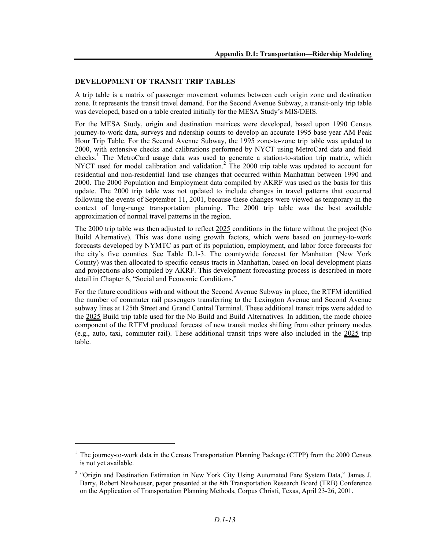#### **DEVELOPMENT OF TRANSIT TRIP TABLES**

A trip table is a matrix of passenger movement volumes between each origin zone and destination zone. It represents the transit travel demand. For the Second Avenue Subway, a transit-only trip table was developed, based on a table created initially for the MESA Study's MIS/DEIS.

For the MESA Study, origin and destination matrices were developed, based upon 1990 Census journey-to-work data, surveys and ridership counts to develop an accurate 1995 base year AM Peak Hour Trip Table. For the Second Avenue Subway, the 1995 zone-to-zone trip table was updated to 2000, with extensive checks and calibrations performed by NYCT using MetroCard data and field checks.<sup>1</sup> The MetroCard usage data was used to generate a station-to-station trip matrix, which NYCT used for model calibration and validation.<sup>2</sup> The 2000 trip table was updated to account for residential and non-residential land use changes that occurred within Manhattan between 1990 and 2000. The 2000 Population and Employment data compiled by AKRF was used as the basis for this update. The 2000 trip table was not updated to include changes in travel patterns that occurred following the events of September 11, 2001, because these changes were viewed as temporary in the context of long-range transportation planning. The 2000 trip table was the best available approximation of normal travel patterns in the region.

The 2000 trip table was then adjusted to reflect 2025 conditions in the future without the project (No Build Alternative). This was done using growth factors, which were based on journey-to-work forecasts developed by NYMTC as part of its population, employment, and labor force forecasts for the city's five counties. See Table D.1-3. The countywide forecast for Manhattan (New York County) was then allocated to specific census tracts in Manhattan, based on local development plans and projections also compiled by AKRF. This development forecasting process is described in more detail in Chapter 6, "Social and Economic Conditions."

For the future conditions with and without the Second Avenue Subway in place, the RTFM identified the number of commuter rail passengers transferring to the Lexington Avenue and Second Avenue subway lines at 125th Street and Grand Central Terminal. These additional transit trips were added to the 2025 Build trip table used for the No Build and Build Alternatives. In addition, the mode choice component of the RTFM produced forecast of new transit modes shifting from other primary modes (e.g., auto, taxi, commuter rail). These additional transit trips were also included in the 2025 trip table.

l

<sup>&</sup>lt;sup>1</sup> The journey-to-work data in the Census Transportation Planning Package (CTPP) from the 2000 Census is not yet available.

<sup>&</sup>lt;sup>2</sup> "Origin and Destination Estimation in New York City Using Automated Fare System Data," James J. Barry, Robert Newhouser, paper presented at the 8th Transportation Research Board (TRB) Conference on the Application of Transportation Planning Methods, Corpus Christi, Texas, April 23-26, 2001.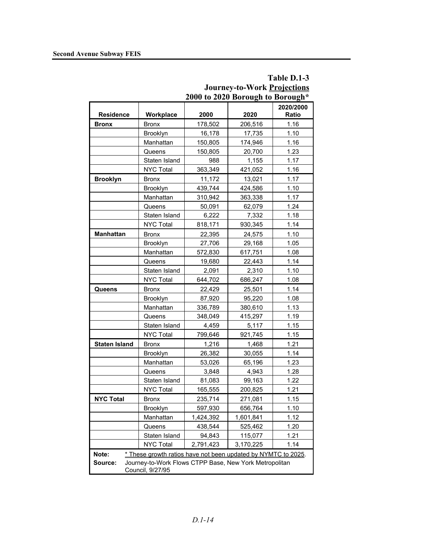|                                                                                       |                                                               | 2000 to 2020 Borough to Borough* |           |           |  |  |
|---------------------------------------------------------------------------------------|---------------------------------------------------------------|----------------------------------|-----------|-----------|--|--|
|                                                                                       |                                                               |                                  |           | 2020/2000 |  |  |
| <b>Residence</b>                                                                      | Workplace                                                     | 2000                             | 2020      | Ratio     |  |  |
| <b>Bronx</b>                                                                          | <b>Bronx</b>                                                  | 178,502                          | 206,516   | 1.16      |  |  |
|                                                                                       | Brooklyn                                                      | 16,178                           | 17,735    | 1.10      |  |  |
|                                                                                       | Manhattan                                                     | 150,805                          | 174,946   | 1.16      |  |  |
|                                                                                       | Queens                                                        | 150,805                          | 20,700    | 1.23      |  |  |
|                                                                                       | Staten Island                                                 | 988                              | 1,155     | 1.17      |  |  |
|                                                                                       | <b>NYC Total</b>                                              | 363,349                          | 421,052   | 1.16      |  |  |
| <b>Brooklyn</b>                                                                       | <b>Bronx</b>                                                  | 11,172                           | 13,021    | 1.17      |  |  |
|                                                                                       | Brooklyn                                                      | 439,744                          | 424,586   | 1.10      |  |  |
|                                                                                       | Manhattan                                                     | 310,942                          | 363,338   | 1.17      |  |  |
|                                                                                       | Queens                                                        | 50,091                           | 62,079    | 1.24      |  |  |
|                                                                                       | Staten Island                                                 | 6,222                            | 7,332     | 1.18      |  |  |
|                                                                                       | <b>NYC Total</b>                                              | 818,171                          | 930,345   | 1.14      |  |  |
| <b>Manhattan</b>                                                                      | <b>Bronx</b>                                                  | 22,395                           | 24,575    | 1.10      |  |  |
|                                                                                       | <b>Brooklyn</b>                                               | 27,706                           | 29,168    | 1.05      |  |  |
|                                                                                       | Manhattan                                                     | 572,830                          | 617,751   | 1.08      |  |  |
|                                                                                       | Queens                                                        | 19,680                           | 22,443    | 1.14      |  |  |
|                                                                                       | Staten Island                                                 | 2,091                            | 2,310     | 1.10      |  |  |
|                                                                                       | <b>NYC Total</b>                                              | 644,702                          | 686,247   | 1.08      |  |  |
| <b>Queens</b>                                                                         | <b>Bronx</b>                                                  | 22,429                           | 25,501    | 1.14      |  |  |
|                                                                                       | Brooklyn                                                      | 87,920                           | 95,220    | 1.08      |  |  |
|                                                                                       | Manhattan                                                     | 336,789                          | 380,610   | 1.13      |  |  |
|                                                                                       | Queens                                                        | 348,049                          | 415,297   | 1.19      |  |  |
|                                                                                       | Staten Island                                                 | 4,459                            | 5,117     | 1.15      |  |  |
|                                                                                       | <b>NYC Total</b>                                              | 799,646                          | 921,745   | 1.15      |  |  |
| <b>Staten Island</b>                                                                  | <b>Bronx</b>                                                  | 1,216                            | 1,468     | 1.21      |  |  |
|                                                                                       | Brooklyn                                                      | 26,382                           | 30,055    | 1.14      |  |  |
|                                                                                       | Manhattan                                                     | 53,026                           | 65,196    | 1.23      |  |  |
|                                                                                       | Queens                                                        | 3,848                            | 4,943     | 1.28      |  |  |
|                                                                                       | Staten Island                                                 | 81,083                           | 99,163    | 1.22      |  |  |
|                                                                                       | <b>NYC Total</b>                                              | 165,555                          | 200,825   | 1.21      |  |  |
| <b>NYC Total</b>                                                                      | Bronx                                                         | 235,714                          | 271,081   | 1.15      |  |  |
|                                                                                       | Brooklyn                                                      | 597,930                          | 656,764   | 1.10      |  |  |
|                                                                                       | Manhattan                                                     | 1,424,392                        | 1,601,841 | 1.12      |  |  |
|                                                                                       | Queens                                                        | 438,544                          | 525,462   | 1.20      |  |  |
|                                                                                       | Staten Island                                                 | 94,843                           | 115,077   | 1.21      |  |  |
|                                                                                       | <b>NYC Total</b>                                              | 2,791,423                        | 3,170,225 | 1.14      |  |  |
| Note:                                                                                 | * These growth ratios have not been updated by NYMTC to 2025. |                                  |           |           |  |  |
| Journey-to-Work Flows CTPP Base, New York Metropolitan<br>Source:<br>Council, 9/27/95 |                                                               |                                  |           |           |  |  |

# **Table D.1-3 Journey-to-Work Projections**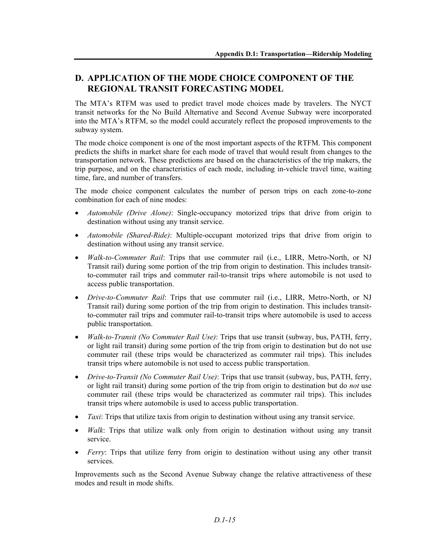# **D. APPLICATION OF THE MODE CHOICE COMPONENT OF THE REGIONAL TRANSIT FORECASTING MODEL**

The MTA's RTFM was used to predict travel mode choices made by travelers. The NYCT transit networks for the No Build Alternative and Second Avenue Subway were incorporated into the MTA's RTFM, so the model could accurately reflect the proposed improvements to the subway system.

The mode choice component is one of the most important aspects of the RTFM. This component predicts the shifts in market share for each mode of travel that would result from changes to the transportation network. These predictions are based on the characteristics of the trip makers, the trip purpose, and on the characteristics of each mode, including in-vehicle travel time, waiting time, fare, and number of transfers.

The mode choice component calculates the number of person trips on each zone-to-zone combination for each of nine modes:

- *Automobile (Drive Alone)*: Single-occupancy motorized trips that drive from origin to destination without using any transit service.
- *Automobile (Shared-Ride)*: Multiple-occupant motorized trips that drive from origin to destination without using any transit service.
- *Walk-to-Commuter Rail*: Trips that use commuter rail (i.e., LIRR, Metro-North, or NJ Transit rail) during some portion of the trip from origin to destination. This includes transitto-commuter rail trips and commuter rail-to-transit trips where automobile is not used to access public transportation.
- *Drive-to-Commuter Rail*: Trips that use commuter rail (i.e., LIRR, Metro-North, or NJ Transit rail) during some portion of the trip from origin to destination. This includes transitto-commuter rail trips and commuter rail-to-transit trips where automobile is used to access public transportation.
- *Walk-to-Transit (No Commuter Rail Use)*: Trips that use transit (subway, bus, PATH, ferry, or light rail transit) during some portion of the trip from origin to destination but do not use commuter rail (these trips would be characterized as commuter rail trips). This includes transit trips where automobile is not used to access public transportation.
- *Drive-to-Transit (No Commuter Rail Use)*: Trips that use transit (subway, bus, PATH, ferry, or light rail transit) during some portion of the trip from origin to destination but do *not* use commuter rail (these trips would be characterized as commuter rail trips). This includes transit trips where automobile is used to access public transportation.
- *Taxi*: Trips that utilize taxis from origin to destination without using any transit service.
- *Walk*: Trips that utilize walk only from origin to destination without using any transit service.
- *Ferry*: Trips that utilize ferry from origin to destination without using any other transit services.

Improvements such as the Second Avenue Subway change the relative attractiveness of these modes and result in mode shifts.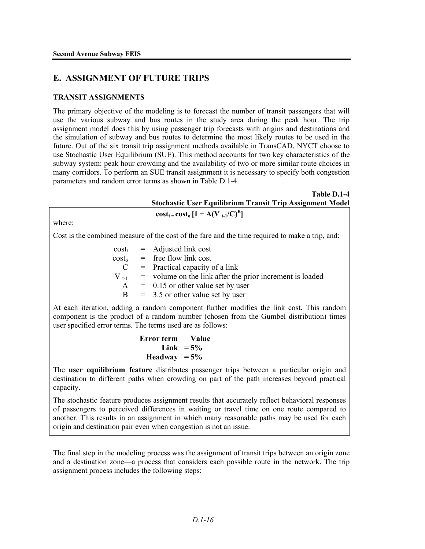# **E. ASSIGNMENT OF FUTURE TRIPS**

# **TRANSIT ASSIGNMENTS**

The primary objective of the modeling is to forecast the number of transit passengers that will use the various subway and bus routes in the study area during the peak hour. The trip assignment model does this by using passenger trip forecasts with origins and destinations and the simulation of subway and bus routes to determine the most likely routes to be used in the future. Out of the six transit trip assignment methods available in TransCAD, NYCT choose to use Stochastic User Equilibrium (SUE). This method accounts for two key characteristics of the subway system: peak hour crowding and the availability of two or more similar route choices in many corridors. To perform an SUE transit assignment it is necessary to specify both congestion parameters and random error terms as shown in Table D.1-4.

| Table D.1-4                                                                                                                                                                                                                                                                                                                                                                                                                                                          |  |  |  |
|----------------------------------------------------------------------------------------------------------------------------------------------------------------------------------------------------------------------------------------------------------------------------------------------------------------------------------------------------------------------------------------------------------------------------------------------------------------------|--|--|--|
| <b>Stochastic User Equilibrium Transit Trip Assignment Model</b>                                                                                                                                                                                                                                                                                                                                                                                                     |  |  |  |
| $cost_{t} = cost_{0} [1 + A(V_{t-1}/C)^{B}]$<br>where:                                                                                                                                                                                                                                                                                                                                                                                                               |  |  |  |
| Cost is the combined measure of the cost of the fare and the time required to make a trip, and:                                                                                                                                                                                                                                                                                                                                                                      |  |  |  |
| $cost_t$ = Adjusted link cost<br>$cost_0$ = free flow link cost<br>$\mathbf{C}$<br>$=$ Practical capacity of a link<br>$V_{t-1}$ = volume on the link after the prior increment is loaded<br>$A = 0.15$ or other value set by user<br>$=$ 3.5 or other value set by user<br>B<br>At each iteration, adding a random component further modifies the link cost. This random<br>component is the product of a random number (chosen from the Gumbel distribution) times |  |  |  |
| user specified error terms. The terms used are as follows:                                                                                                                                                                                                                                                                                                                                                                                                           |  |  |  |
| Error term Value<br>Link $=5\%$<br>Headway $= 5\%$                                                                                                                                                                                                                                                                                                                                                                                                                   |  |  |  |
| The user equilibrium feature distributes pessencer trips between a particular crigin and                                                                                                                                                                                                                                                                                                                                                                             |  |  |  |

The **user equilibrium feature** distributes passenger trips between a particular origin and destination to different paths when crowding on part of the path increases beyond practical capacity.

The stochastic feature produces assignment results that accurately reflect behavioral responses of passengers to perceived differences in waiting or travel time on one route compared to another. This results in an assignment in which many reasonable paths may be used for each origin and destination pair even when congestion is not an issue.

The final step in the modeling process was the assignment of transit trips between an origin zone and a destination zone—a process that considers each possible route in the network. The trip assignment process includes the following steps: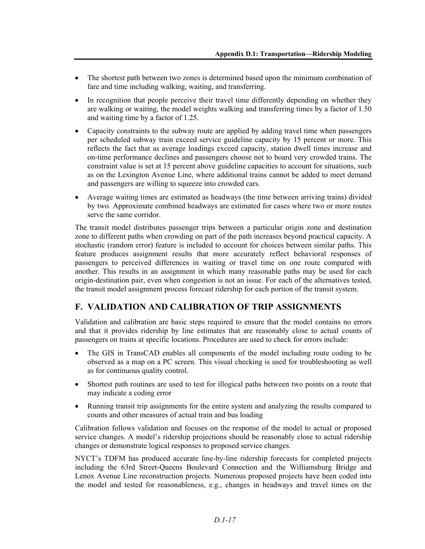- The shortest path between two zones is determined based upon the minimum combination of fare and time including walking, waiting, and transferring.
- In recognition that people perceive their travel time differently depending on whether they are walking or waiting, the model weights walking and transferring times by a factor of 1.50 and waiting time by a factor of 1.25.
- Capacity constraints to the subway route are applied by adding travel time when passengers per scheduled subway train exceed service guideline capacity by 15 percent or more. This reflects the fact that as average loadings exceed capacity, station dwell times increase and on-time performance declines and passengers choose not to board very crowded trains. The constraint value is set at 15 percent above guideline capacities to account for situations, such as on the Lexington Avenue Line, where additional trains cannot be added to meet demand and passengers are willing to squeeze into crowded cars.
- Average waiting times are estimated as headways (the time between arriving trains) divided by two. Approximate combined headways are estimated for cases where two or more routes serve the same corridor.

The transit model distributes passenger trips between a particular origin zone and destination zone to different paths when crowding on part of the path increases beyond practical capacity. A stochastic (random error) feature is included to account for choices between similar paths. This feature produces assignment results that more accurately reflect behavioral responses of passengers to perceived differences in waiting or travel time on one route compared with another. This results in an assignment in which many reasonable paths may be used for each origin-destination pair, even when congestion is not an issue. For each of the alternatives tested, the transit model assignment process forecast ridership for each portion of the transit system.

# **F. VALIDATION AND CALIBRATION OF TRIP ASSIGNMENTS**

Validation and calibration are basic steps required to ensure that the model contains no errors and that it provides ridership by line estimates that are reasonably close to actual counts of passengers on trains at specific locations. Procedures are used to check for errors include:

- The GIS in TransCAD enables all components of the model including route coding to be observed as a map on a PC screen. This visual checking is used for troubleshooting as well as for continuous quality control.
- Shortest path routines are used to test for illogical paths between two points on a route that may indicate a coding error
- Running transit trip assignments for the entire system and analyzing the results compared to counts and other measures of actual train and bus loading

Calibration follows validation and focuses on the response of the model to actual or proposed service changes. A model's ridership projections should be reasonably close to actual ridership changes or demonstrate logical responses to proposed service changes.

NYCT's TDFM has produced accurate line-by-line ridership forecasts for completed projects including the 63rd Street-Queens Boulevard Connection and the Williamsburg Bridge and Lenox Avenue Line reconstruction projects. Numerous proposed projects have been coded into the model and tested for reasonableness, e.g., changes in headways and travel times on the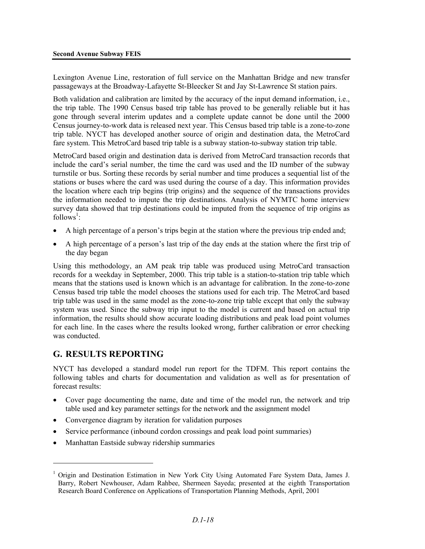Lexington Avenue Line, restoration of full service on the Manhattan Bridge and new transfer passageways at the Broadway-Lafayette St-Bleecker St and Jay St-Lawrence St station pairs.

Both validation and calibration are limited by the accuracy of the input demand information, i.e., the trip table. The 1990 Census based trip table has proved to be generally reliable but it has gone through several interim updates and a complete update cannot be done until the 2000 Census journey-to-work data is released next year. This Census based trip table is a zone-to-zone trip table. NYCT has developed another source of origin and destination data, the MetroCard fare system. This MetroCard based trip table is a subway station-to-subway station trip table.

MetroCard based origin and destination data is derived from MetroCard transaction records that include the card's serial number, the time the card was used and the ID number of the subway turnstile or bus. Sorting these records by serial number and time produces a sequential list of the stations or buses where the card was used during the course of a day. This information provides the location where each trip begins (trip origins) and the sequence of the transactions provides the information needed to impute the trip destinations. Analysis of NYMTC home interview survey data showed that trip destinations could be imputed from the sequence of trip origins as  $follows^1$ :

- A high percentage of a person's trips begin at the station where the previous trip ended and;
- A high percentage of a person's last trip of the day ends at the station where the first trip of the day began

Using this methodology, an AM peak trip table was produced using MetroCard transaction records for a weekday in September, 2000. This trip table is a station-to-station trip table which means that the stations used is known which is an advantage for calibration. In the zone-to-zone Census based trip table the model chooses the stations used for each trip. The MetroCard based trip table was used in the same model as the zone-to-zone trip table except that only the subway system was used. Since the subway trip input to the model is current and based on actual trip information, the results should show accurate loading distributions and peak load point volumes for each line. In the cases where the results looked wrong, further calibration or error checking was conducted.

# **G. RESULTS REPORTING**

1

NYCT has developed a standard model run report for the TDFM. This report contains the following tables and charts for documentation and validation as well as for presentation of forecast results:

- Cover page documenting the name, date and time of the model run, the network and trip table used and key parameter settings for the network and the assignment model
- Convergence diagram by iteration for validation purposes
- Service performance (inbound cordon crossings and peak load point summaries)
- Manhattan Eastside subway ridership summaries

<sup>&</sup>lt;sup>1</sup> Origin and Destination Estimation in New York City Using Automated Fare System Data, James J. Barry, Robert Newhouser, Adam Rahbee, Shermeen Sayeda; presented at the eighth Transportation Research Board Conference on Applications of Transportation Planning Methods, April, 2001